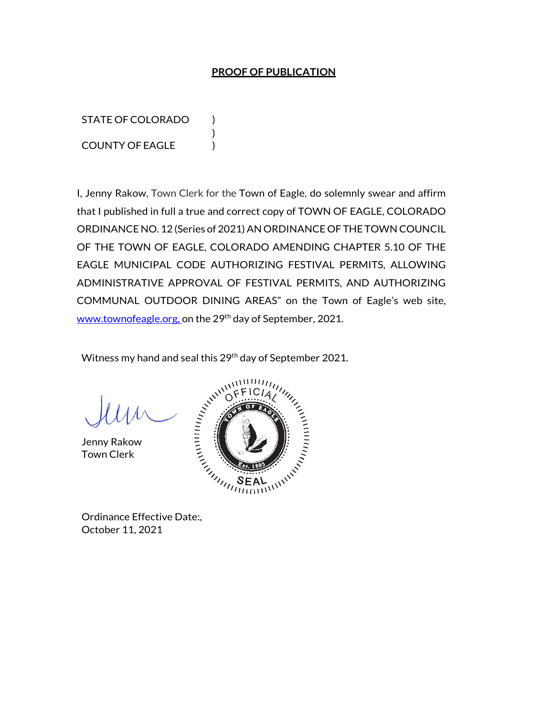#### **PROOF OF PUBLICATION**

STATE OF COLORADO ) COUNTY OF EAGLE )

I, Jenny Rakow, Town Clerk for the Town of Eagle, do solemnly swear and affirm that I published in full a true and correct copy of TOWN OF EAGLE, COLORADO ORDINANCE NO. 12 (Series of 2021) AN ORDINANCE OF THE TOWN COUNCIL OF THE TOWN OF EAGLE, COLORADO AMENDING CHAPTER 5.10 OF THE EAGLE MUNICIPAL CODE AUTHORIZING FESTIVAL PERMITS, ALLOWING ADMINISTRATIVE APPROVAL OF FESTIVAL PERMITS, AND AUTHORIZING COMMUNAL OUTDOOR DINING AREAS" on the Town of Eagle's web site, www.townofeagle.org, on the 29<sup>th</sup> day of September, 2021.

Witness my hand and seal this 29<sup>th</sup> day of September 2021.

)

Jenny Rakow Town Clerk



October 11, 2021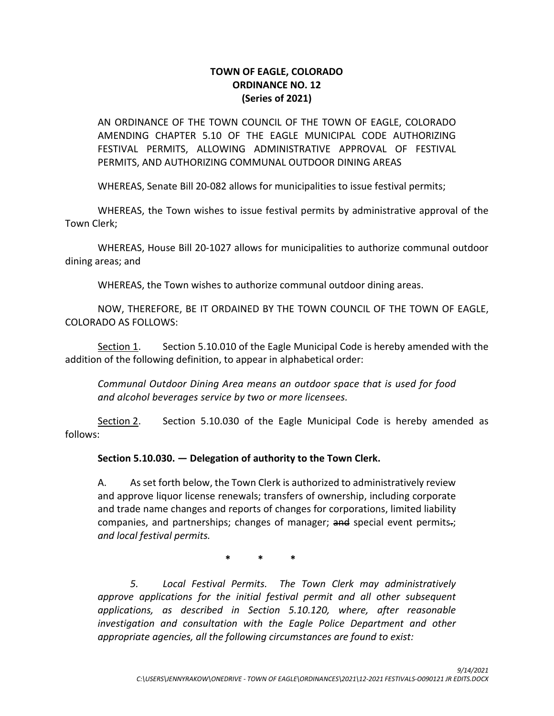## **TOWN OF EAGLE, COLORADO ORDINANCE NO. 12 (Series of 2021)**

AN ORDINANCE OF THE TOWN COUNCIL OF THE TOWN OF EAGLE, COLORADO AMENDING CHAPTER 5.10 OF THE EAGLE MUNICIPAL CODE AUTHORIZING FESTIVAL PERMITS, ALLOWING ADMINISTRATIVE APPROVAL OF FESTIVAL PERMITS, AND AUTHORIZING COMMUNAL OUTDOOR DINING AREAS

WHEREAS, Senate Bill 20-082 allows for municipalities to issue festival permits;

WHEREAS, the Town wishes to issue festival permits by administrative approval of the Town Clerk;

WHEREAS, House Bill 20-1027 allows for municipalities to authorize communal outdoor dining areas; and

WHEREAS, the Town wishes to authorize communal outdoor dining areas.

NOW, THEREFORE, BE IT ORDAINED BY THE TOWN COUNCIL OF THE TOWN OF EAGLE, COLORADO AS FOLLOWS:

Section 1. Section 5.10.010 of the Eagle Municipal Code is hereby amended with the addition of the following definition, to appear in alphabetical order:

*Communal Outdoor Dining Area means an outdoor space that is used for food and alcohol beverages service by two or more licensees.*

Section 2. Section 5.10.030 of the Eagle Municipal Code is hereby amended as follows:

## **Section 5.10.030. — Delegation of authority to the Town Clerk.**

A. As set forth below, the Town Clerk is authorized to administratively review and approve liquor license renewals; transfers of ownership, including corporate and trade name changes and reports of changes for corporations, limited liability companies, and partnerships; changes of manager; and special event permits.; *and local festival permits.*

**\* \* \***

*5. Local Festival Permits. The Town Clerk may administratively approve applications for the initial festival permit and all other subsequent applications, as described in Section 5.10.120, where, after reasonable investigation and consultation with the Eagle Police Department and other appropriate agencies, all the following circumstances are found to exist:*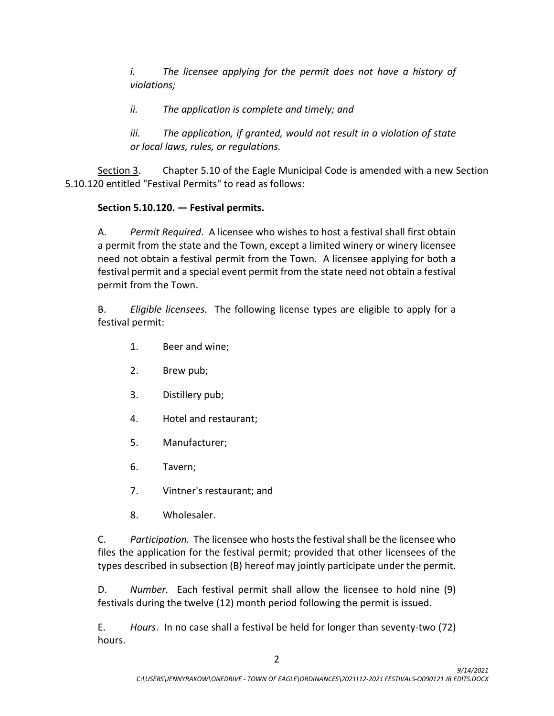*i. The licensee applying for the permit does not have a history of violations;* 

*ii. The application is complete and timely; and* 

*iii. The application, if granted, would not result in a violation of state or local laws, rules, or regulations.*

Section 3. Chapter 5.10 of the Eagle Municipal Code is amended with a new Section 5.10.120 entitled "Festival Permits" to read as follows:

# **Section 5.10.120. — Festival permits.**

A. *Permit Required*. A licensee who wishes to host a festival shall first obtain a permit from the state and the Town, except a limited winery or winery licensee need not obtain a festival permit from the Town. A licensee applying for both a festival permit and a special event permit from the state need not obtain a festival permit from the Town.

B. *Eligible licensees.* The following license types are eligible to apply for a festival permit:

- 1. Beer and wine;
- 2. Brew pub;
- 3. Distillery pub;
- 4. Hotel and restaurant;
- 5. Manufacturer;
- 6. Tavern;
- 7. Vintner's restaurant; and
- 8. Wholesaler.

C. *Participation.* The licensee who hoststhe festival shall be the licensee who files the application for the festival permit; provided that other licensees of the types described in subsection (B) hereof may jointly participate under the permit.

D. *Number.* Each festival permit shall allow the licensee to hold nine (9) festivals during the twelve (12) month period following the permit is issued.

E. *Hours*.In no case shall a festival be held for longer than seventy-two (72) hours.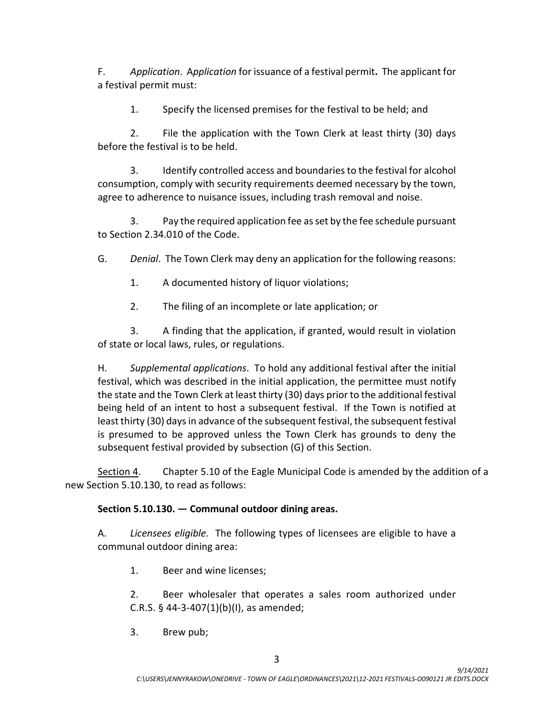F. *Application*. A*pplication* for issuance of a festival permit**.** The applicant for a festival permit must:

1. Specify the licensed premises for the festival to be held; and

2. File the application with the Town Clerk at least thirty (30) days before the festival is to be held.

3. Identify controlled access and boundaries to the festival for alcohol consumption, comply with security requirements deemed necessary by the town, agree to adherence to nuisance issues, including trash removal and noise.

3. Pay the required application fee as set by the fee schedule pursuant to Section 2.34.010 of the Code.

G. *Denial*. The Town Clerk may deny an application for the following reasons:

1. A documented history of liquor violations;

2. The filing of an incomplete or late application; or

3. A finding that the application, if granted, would result in violation of state or local laws, rules, or regulations.

H. *Supplemental applications*.To hold any additional festival after the initial festival, which was described in the initial application, the permittee must notify the state and the Town Clerk at least thirty (30) days prior to the additional festival being held of an intent to host a subsequent festival. If the Town is notified at least thirty (30) days in advance of the subsequent festival, the subsequent festival is presumed to be approved unless the Town Clerk has grounds to deny the subsequent festival provided by subsection (G) of this Section.

Section 4. Chapter 5.10 of the Eagle Municipal Code is amended by the addition of a new Section 5.10.130, to read as follows:

## **Section 5.10.130. — Communal outdoor dining areas.**

A. *Licensees eligible.* The following types of licensees are eligible to have a communal outdoor dining area:

1. Beer and wine licenses;

2. Beer wholesaler that operates a sales room authorized under C.R.S. § 44-3-407(1)(b)(I), as amended;

3. Brew pub;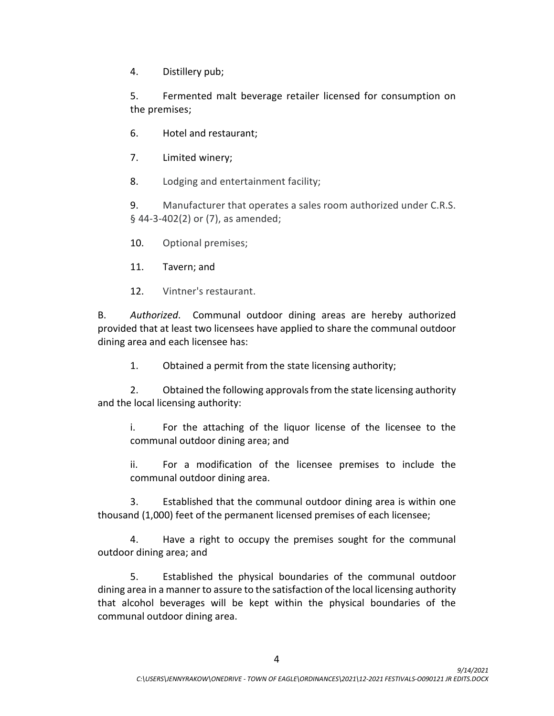4. Distillery pub;

5. Fermented malt beverage retailer licensed for consumption on the premises;

6. Hotel and restaurant;

7. Limited winery;

8. Lodging and entertainment facility;

9. Manufacturer that operates a sales room authorized under C.R.S. § 44-3-402(2) or (7), as amended;

10. Optional premises;

11. Tavern; and

12. Vintner's restaurant.

B. *Authorized*. Communal outdoor dining areas are hereby authorized provided that at least two licensees have applied to share the communal outdoor dining area and each licensee has:

1. Obtained a permit from the state licensing authority;

2. Obtained the following approvals from the state licensing authority and the local licensing authority:

i. For the attaching of the liquor license of the licensee to the communal outdoor dining area; and

ii. For a modification of the licensee premises to include the communal outdoor dining area.

3. Established that the communal outdoor dining area is within one thousand (1,000) feet of the permanent licensed premises of each licensee;

4. Have a right to occupy the premises sought for the communal outdoor dining area; and

5. Established the physical boundaries of the communal outdoor dining area in a manner to assure to the satisfaction of the local licensing authority that alcohol beverages will be kept within the physical boundaries of the communal outdoor dining area.